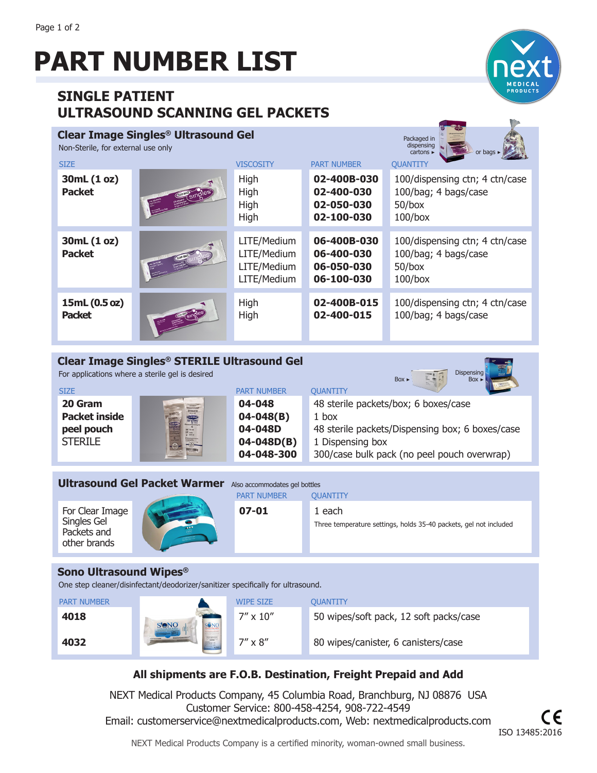# **PART NUMBER LIST**

# **SINGLE PATIENT ULTRASOUND SCANNING GEL PACKETS**

### **Clear Image Singles® Ultrasound Gel**





Dispensing

| <u>NUIT Steffle, Tul exterium use offici</u><br><b>SIZE</b> |         | <b>VISCOSITY</b>                                         | <b>PART NUMBER</b>                                    | $cartons \triangleright$<br>or bags $\blacktriangleright$<br><b>QUANTITY</b>      |
|-------------------------------------------------------------|---------|----------------------------------------------------------|-------------------------------------------------------|-----------------------------------------------------------------------------------|
| 30mL (1 oz)<br><b>Packet</b>                                | Gingles | High<br>High<br>High<br>High                             | 02-400B-030<br>02-400-030<br>02-050-030<br>02-100-030 | 100/dispensing ctn; 4 ctn/case<br>100/bag; 4 bags/case<br>$50$ /box<br>$100/b$ ox |
| 30mL (1 oz)<br><b>Packet</b>                                |         | LITE/Medium<br>LITE/Medium<br>LITE/Medium<br>LITE/Medium | 06-400B-030<br>06-400-030<br>06-050-030<br>06-100-030 | 100/dispensing ctn; 4 ctn/case<br>100/bag; 4 bags/case<br>$50$ /box<br>$100/b$ ox |
| 15mL (0.5 oz)<br><b>Packet</b>                              |         | High<br>High                                             | 02-400B-015<br>02-400-015                             | 100/dispensing ctn; 4 ctn/case<br>100/bag; 4 bags/case                            |

#### **Clear Image Singles® STERILE Ultrasound Gel**

For applications where a sterile gel is desired

|                      |                                                              |                    | $Box \triangleright$<br>$Box \triangleright$    |
|----------------------|--------------------------------------------------------------|--------------------|-------------------------------------------------|
| <b>SIZE</b>          |                                                              | <b>PART NUMBER</b> | <b>QUANTITY</b>                                 |
| 20 Gram              | <b>TRIADES</b>                                               | 04-048             | 48 sterile packets/box; 6 boxes/case            |
| <b>Packet inside</b> | <b>STERK FTA</b><br><b>GLAR MAGE</b><br>singles <sup>*</sup> | $04 - 048(B)$      | 1 box                                           |
| peel pouch           |                                                              | 04-048D            | 48 sterile packets/Dispensing box; 6 boxes/case |
| <b>STERILE</b>       | <b>The Contract</b>                                          | $04 - 048D(B)$     | 1 Dispensing box                                |
|                      |                                                              | 04-048-300         | 300/case bulk pack (no peel pouch overwrap)     |
|                      |                                                              |                    |                                                 |

| <b>Ultrasound Gel Packet Warmer</b>                           | Also accommodates gel bottles<br><b>PART NUMBER</b><br><b>OUANTITY</b> |                                                                             |  |
|---------------------------------------------------------------|------------------------------------------------------------------------|-----------------------------------------------------------------------------|--|
| For Clear Image<br>Singles Gel<br>Packets and<br>other brands | $07 - 01$                                                              | 1 each<br>Three temperature settings, holds 35-40 packets, gel not included |  |

#### **Sono Ultrasound Wipes®**

One step cleaner/disinfectant/deodorizer/sanitizer specifically for ultrasound.

| <b>PART NUMBER</b> |                                      | WIPE SIZE         | OUANTITY                               |
|--------------------|--------------------------------------|-------------------|----------------------------------------|
| 4018               | <b>SONO</b><br><b>S'ONO</b>          | $7'' \times 10''$ | 50 wipes/soft pack, 12 soft packs/case |
| 4032               | <b>WEBSTER</b><br><b>AMANUFUCRET</b> | $7'' \times 8''$  | 80 wipes/canister, 6 canisters/case    |

## **All shipments are F.O.B. Destination, Freight Prepaid and Add**

NEXT Medical Products Company, 45 Columbia Road, Branchburg, NJ 08876 USA Customer Service: 800-458-4254, 908-722-4549 Email: customerservice@nextmedicalproducts.com, Web: nextmedicalproducts.com

NEXT Medical Products Company is a certified minority, woman-owned small business.